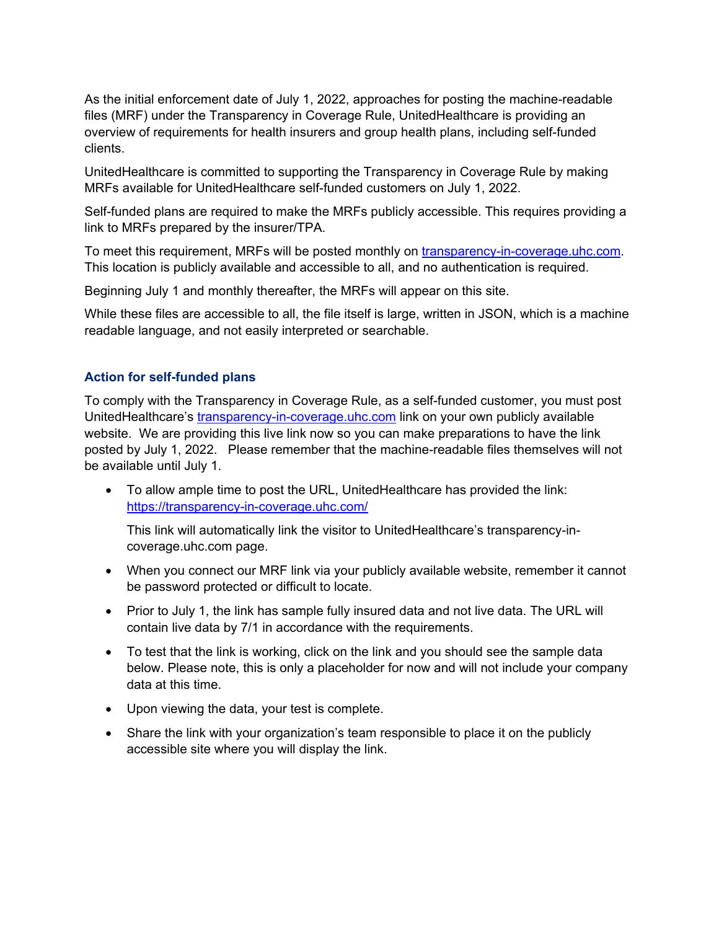As the initial enforcement date of July 1, 2022, approaches for posting the machine-readable files (MRF) under the Transparency in Coverage Rule, UnitedHealthcare is providing an overview of requirements for health insurers and group health plans, including self-funded clients.

UnitedHealthcare is committed to supporting the Transparency in Coverage Rule by making MRFs available for UnitedHealthcare self-funded customers on July 1, 2022.

Self-funded plans are required to make the MRFs publicly accessible. This requires providing a link to MRFs prepared by the insurer/TPA.

To meet this requirement, MRFs will be posted monthly on transparency-in-coverage.uhc.com. This location is publicly available and accessible to all, and no authentication is required.

Beginning July 1 and monthly thereafter, the MRFs will appear on this site.

While these files are accessible to all, the file itself is large, written in JSON, which is a machine readable language, and not easily interpreted or searchable.

## **Action for self-funded plans**

To comply with the Transparency in Coverage Rule, as a self-funded customer, you must post UnitedHealthcare's [transparency-in-coverage.uhc.com](https://transparency-in-coverage.uhc.com/) link on your own publicly available website. We are providing this live link now so you can make preparations to have the link posted by July 1, 2022. Please remember that the machine-readable files themselves will not be available until July 1.

 To allow ample time to post the URL, UnitedHealthcare has provided the link: https://transparency-in-coverage.uhc.com/

This link will automatically link the visitor to UnitedHealthcare's transparency-incoverage.uhc.com page.

- When you connect our MRF link via your publicly available website, remember it cannot be password protected or difficult to locate.
- Prior to July 1, the link has sample fully insured data and not live data. The URL will contain live data by 7/1 in accordance with the requirements.
- To test that the link is working, click on the link and you should see the sample data below. Please note, this is only a placeholder for now and will not include your company data at this time.
- Upon viewing the data, your test is complete.
- Share the link with your organization's team responsible to place it on the publicly accessible site where you will display the link.